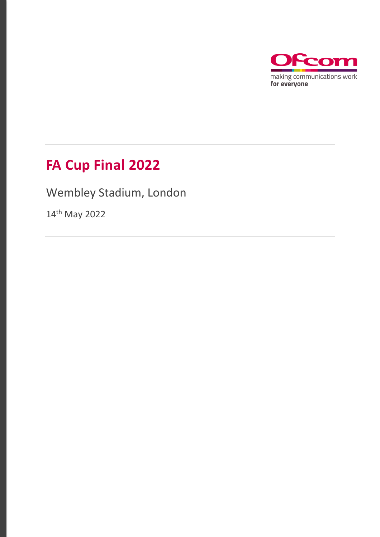

# **FA Cup Final 2022**

Wembley Stadium, London

14th May 2022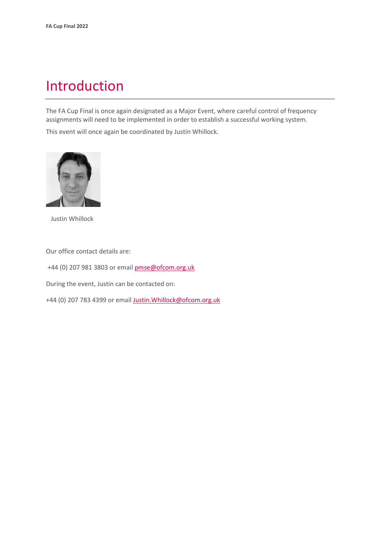## Introduction

The FA Cup Final is once again designated as a Major Event, where careful control of frequency assignments will need to be implemented in order to establish a successful working system.

This event will once again be coordinated by Justin Whillock.



Justin Whillock

Our office contact details are:

+44 (0) 207 981 3803 or emai[l pmse@ofcom.org.uk](mailto:pmse@ofcom.org.uk)

During the event, Justin can be contacted on:

+44 (0) 207 783 4399 or email [Justin.Whillock@ofcom.org.uk](mailto:Justin.Whillock@ofcom.org.uk)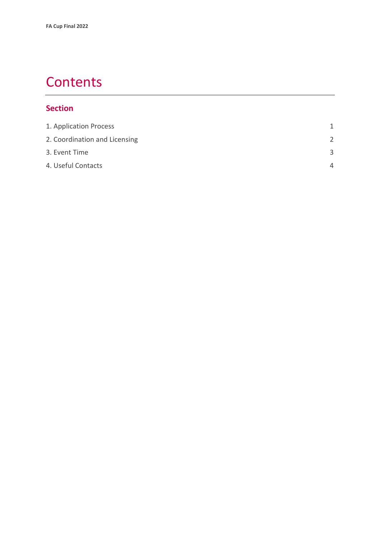## **Contents**

#### **Section**

| 1. Application Process        | 1             |
|-------------------------------|---------------|
| 2. Coordination and Licensing | $\mathcal{P}$ |
| 3. Event Time                 | З             |
| 4. Useful Contacts            | $\Delta$      |
|                               |               |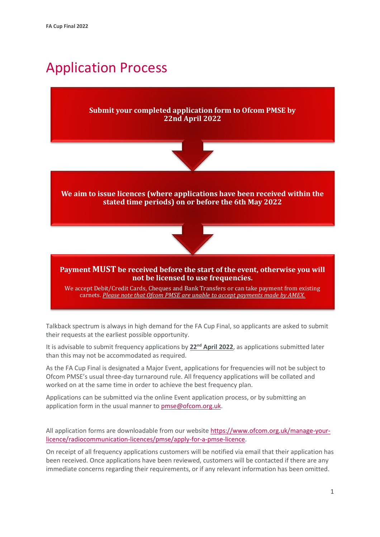# <span id="page-3-0"></span>Application Process

#### **Submit your completed application form to Ofcom PMSE by 22nd April 2022**



**We aim to issue licences (where applications have been received within the stated time periods) on or before the 6th May 2022**



#### **Payment MUST be received before the start of the event, otherwise you will not be licensed to use frequencies.**

We accept Debit/Credit Cards, Cheques and Bank Transfers or can take payment from existing carnets. *Please note that Ofcom PMSE are unable to accept payments made by AMEX.*

Talkback spectrum is always in high demand for the FA Cup Final, so applicants are asked to submit their requests at the earliest possible opportunity.

It is advisable to submit frequency applications by 22<sup>nd</sup> April 2022, as applications submitted later than this may not be accommodated as required.

As the FA Cup Final is designated a Major Event, applications for frequencies will not be subject to Ofcom PMSE's usual three-day turnaround rule. All frequency applications will be collated and worked on at the same time in order to achieve the best frequency plan.

Applications can be submitted via the online Event application process, or by submitting an application form in the usual manner to **pmse@ofcom.org.uk.** 

All application forms are downloadable from our websit[e https://www.ofcom.org.uk/manage-your](https://www.ofcom.org.uk/manage-your-licence/radiocommunication-licences/pmse/apply-for-a-pmse-licence)[licence/radiocommunication-licences/pmse/apply-for-a-pmse-licence.](https://www.ofcom.org.uk/manage-your-licence/radiocommunication-licences/pmse/apply-for-a-pmse-licence)

On receipt of all frequency applications customers will be notified via email that their application has been received. Once applications have been reviewed, customers will be contacted if there are any immediate concerns regarding their requirements, or if any relevant information has been omitted.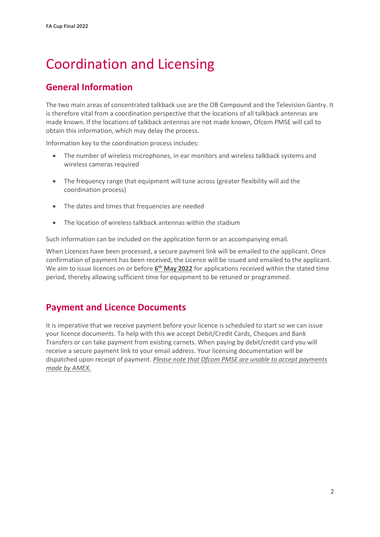# <span id="page-4-0"></span>Coordination and Licensing

### **General Information**

The two main areas of concentrated talkback use are the OB Compound and the Television Gantry. It is therefore vital from a coordination perspective that the locations of all talkback antennas are made known. If the locations of talkback antennas are not made known, Ofcom PMSE will call to obtain this information, which may delay the process.

Information key to the coordination process includes:

- The number of wireless microphones, in ear monitors and wireless talkback systems and wireless cameras required
- The frequency range that equipment will tune across (greater flexibility will aid the coordination process)
- The dates and times that frequencies are needed
- The location of wireless talkback antennas within the stadium

Such information can be included on the application form or an accompanying email.

When Licences have been processed, a secure payment link will be emailed to the applicant. Once confirmation of payment has been received, the Licence will be issued and emailed to the applicant. We aim to issue licences on or before  $6<sup>th</sup>$  May 2022 for applications received within the stated time period, thereby allowing sufficient time for equipment to be retuned or programmed.

### **Payment and Licence Documents**

It is imperative that we receive payment before your licence is scheduled to start so we can issue your licence documents. To help with this we accept Debit/Credit Cards, Cheques and Bank Transfers or can take payment from existing carnets. When paying by debit/credit card you will receive a secure payment link to your email address. Your licensing documentation will be dispatched upon receipt of payment. *Please note that Ofcom PMSE are unable to accept payments made by AMEX.*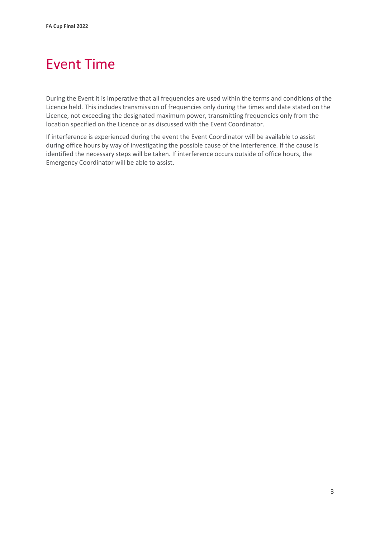# <span id="page-5-0"></span>Event Time

During the Event it is imperative that all frequencies are used within the terms and conditions of the Licence held. This includes transmission of frequencies only during the times and date stated on the Licence, not exceeding the designated maximum power, transmitting frequencies only from the location specified on the Licence or as discussed with the Event Coordinator.

If interference is experienced during the event the Event Coordinator will be available to assist during office hours by way of investigating the possible cause of the interference. If the cause is identified the necessary steps will be taken. If interference occurs outside of office hours, the Emergency Coordinator will be able to assist.